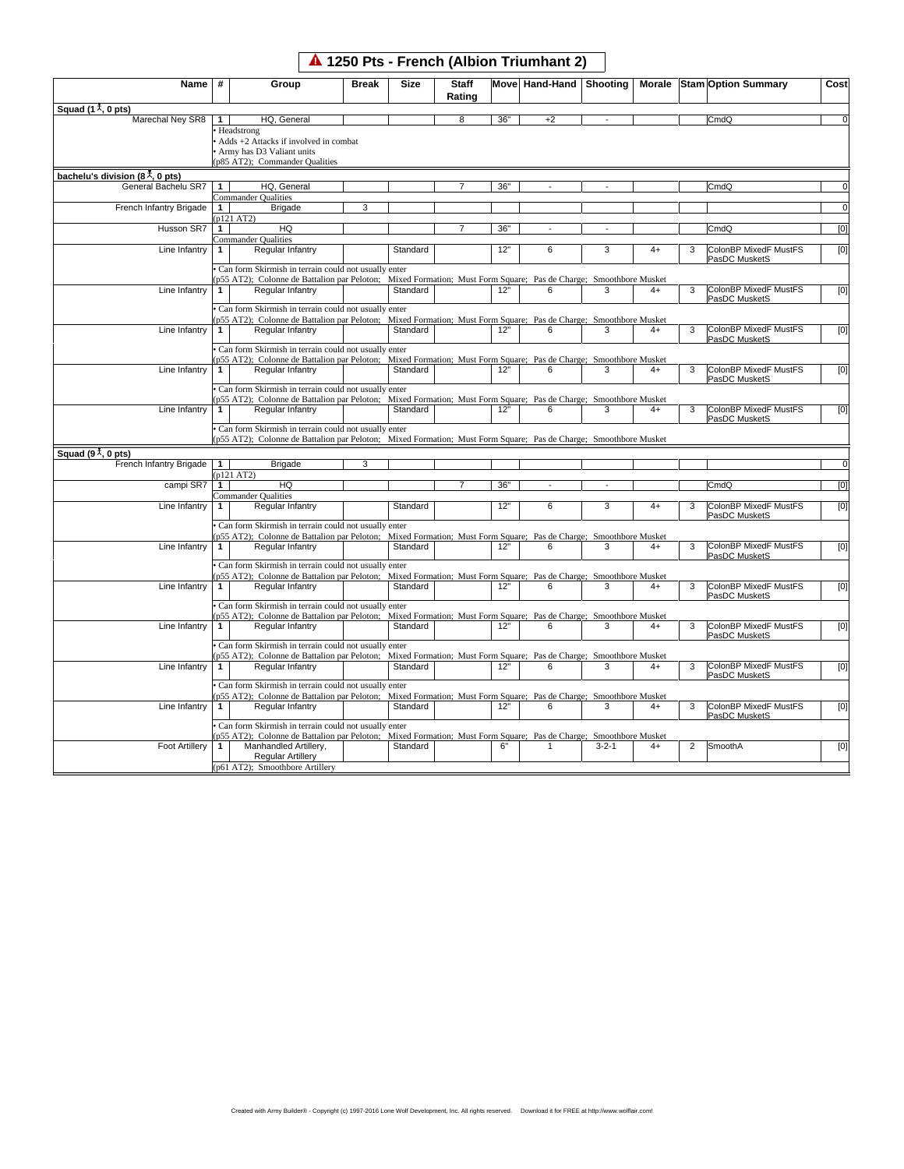## **1250 Pts - French (Albion Triumhant 2)**

| Squad $(1^{\frac{1}{\lambda}}, 0$ pts)<br>Marechal Ney SR8 | #            | Group                                                                                                            | <b>Break</b> | <b>Size</b> | <b>Staff</b><br>Rating |     | Move Hand-Hand | Shooting    |      |                | Morale Stam Option Summary             | Cost                  |
|------------------------------------------------------------|--------------|------------------------------------------------------------------------------------------------------------------|--------------|-------------|------------------------|-----|----------------|-------------|------|----------------|----------------------------------------|-----------------------|
|                                                            |              |                                                                                                                  |              |             |                        |     |                |             |      |                |                                        |                       |
|                                                            | $\mathbf{1}$ | HQ, General                                                                                                      |              |             | 8                      | 36" | $+2$           |             |      |                | CmdQ                                   | $\overline{0}$        |
|                                                            |              | Headstrong                                                                                                       |              |             |                        |     |                |             |      |                |                                        |                       |
|                                                            |              | Adds +2 Attacks if involved in combat                                                                            |              |             |                        |     |                |             |      |                |                                        |                       |
|                                                            |              | Army has D3 Valiant units                                                                                        |              |             |                        |     |                |             |      |                |                                        |                       |
|                                                            |              | p85 AT2); Commander Qualities                                                                                    |              |             |                        |     |                |             |      |                |                                        |                       |
| bachelu's division ( $8^{\frac{1}{\lambda}}$ , 0 pts)      |              |                                                                                                                  |              |             |                        |     |                |             |      |                |                                        |                       |
| General Bachelu SR7                                        | $\mathbf{1}$ | HQ, General                                                                                                      |              |             |                        | 36" |                |             |      |                | CmdQ                                   | $\overline{0}$        |
|                                                            |              | Commander Qualities                                                                                              |              |             |                        |     |                |             |      |                |                                        |                       |
| French Infantry Brigade                                    | 1            | <b>Brigade</b>                                                                                                   | 3            |             |                        |     |                |             |      |                |                                        | $\overline{0}$        |
|                                                            |              | p121 AT2)                                                                                                        |              |             |                        |     |                |             |      |                |                                        |                       |
| Husson SR7                                                 | 1            | HQ                                                                                                               |              |             |                        | 36" |                |             |      |                | CmdQ                                   | [0]                   |
|                                                            |              | Commander Qualities                                                                                              |              |             |                        |     |                |             |      |                |                                        |                       |
| Line Infantry                                              | $\mathbf{1}$ | Regular Infantry                                                                                                 |              | Standard    |                        | 12" | 6              | 3           | $4+$ | 3              | ColonBP MixedF MustFS                  | [0]                   |
|                                                            |              |                                                                                                                  |              |             |                        |     |                |             |      |                | PasDC MusketS                          |                       |
|                                                            |              | Can form Skirmish in terrain could not usually enter                                                             |              |             |                        |     |                |             |      |                |                                        |                       |
|                                                            |              | p55 AT2); Colonne de Battalion par Peloton; Mixed Formation; Must Form Square; Pas de Charge; Smoothbore Musket  |              |             |                        |     |                |             |      |                |                                        |                       |
| Line Infantry                                              | $\mathbf{1}$ | Regular Infantry                                                                                                 |              | Standard    |                        | 12" | 6              | 3           |      | 3              | ColonBP MixedF MustFS                  | [0]                   |
|                                                            |              |                                                                                                                  |              |             |                        |     |                |             |      |                | PasDC MusketS                          |                       |
|                                                            |              | Can form Skirmish in terrain could not usually enter                                                             |              |             |                        |     |                |             |      |                |                                        |                       |
|                                                            |              | p55 AT2); Colonne de Battalion par Peloton; Mixed Formation; Must Form Square; Pas de Charge; Smoothbore Musket  |              |             |                        |     |                |             |      |                |                                        |                       |
| Line Infantry                                              | $\mathbf{1}$ | Regular Infantry                                                                                                 |              | Standard    |                        | 12" | 6              | 3           | $4+$ | 3              | ColonBP MixedF MustFS<br>PasDC MusketS | [0]                   |
|                                                            |              | Can form Skirmish in terrain could not usually enter                                                             |              |             |                        |     |                |             |      |                |                                        |                       |
|                                                            |              | p55 AT2); Colonne de Battalion par Peloton; Mixed Formation; Must Form Square; Pas de Charge; Smoothbore Musket  |              |             |                        |     |                |             |      |                |                                        |                       |
| Line Infantry                                              | $\mathbf{1}$ | Regular Infantry                                                                                                 |              | Standard    |                        | 12" | 6              | 3           | $4+$ | 3              | ColonBP MixedF MustFS                  |                       |
|                                                            |              |                                                                                                                  |              |             |                        |     |                |             |      |                | PasDC MusketS                          | [0]                   |
|                                                            |              | Can form Skirmish in terrain could not usually enter                                                             |              |             |                        |     |                |             |      |                |                                        |                       |
|                                                            |              | p55 AT2); Colonne de Battalion par Peloton; Mixed Formation; Must Form Square; Pas de Charge; Smoothbore Musket  |              |             |                        |     |                |             |      |                |                                        |                       |
| Line Infantry                                              | 1            | Regular Infantry                                                                                                 |              | Standard    |                        | 12" | 6              | 3           | $4+$ | 3              | ColonBP MixedF MustFS                  | [0]                   |
|                                                            |              |                                                                                                                  |              |             |                        |     |                |             |      |                | PasDC MusketS                          |                       |
|                                                            |              | Can form Skirmish in terrain could not usually enter                                                             |              |             |                        |     |                |             |      |                |                                        |                       |
|                                                            |              | p55 AT2); Colonne de Battalion par Peloton; Mixed Formation; Must Form Square; Pas de Charge; Smoothbore Musket  |              |             |                        |     |                |             |      |                |                                        |                       |
| Squad $(91, 0pts)$                                         |              |                                                                                                                  |              |             |                        |     |                |             |      |                |                                        |                       |
| French Infantry Brigade                                    | $\mathbf{1}$ | <b>Brigade</b>                                                                                                   | 3            |             |                        |     |                |             |      |                |                                        |                       |
|                                                            |              | p121 AT2)                                                                                                        |              |             |                        |     |                |             |      |                |                                        |                       |
|                                                            | $\mathbf{1}$ | HQ                                                                                                               |              |             |                        |     |                |             |      |                |                                        |                       |
|                                                            |              |                                                                                                                  |              |             |                        |     |                |             |      |                |                                        |                       |
| campi SR7                                                  |              |                                                                                                                  |              |             | $\overline{7}$         | 36" |                |             |      |                | CmdQ                                   | $\overline{0}$<br>[0] |
|                                                            |              | <b>Commander Qualities</b>                                                                                       |              |             |                        |     |                |             |      |                |                                        |                       |
| Line Infantry                                              | $\mathbf{1}$ | Regular Infantry                                                                                                 |              | Standard    |                        | 12" | 6              | 3           | $4+$ | 3              | ColonBP MixedF MustFS                  |                       |
|                                                            |              |                                                                                                                  |              |             |                        |     |                |             |      |                | PasDC MusketS                          |                       |
|                                                            |              | Can form Skirmish in terrain could not usually enter                                                             |              |             |                        |     |                |             |      |                |                                        |                       |
|                                                            |              | (p55 AT2); Colonne de Battalion par Peloton; Mixed Formation; Must Form Square; Pas de Charge; Smoothbore Musket |              |             |                        |     | 6              | 3           |      |                |                                        |                       |
| Line Infantry                                              | $\mathbf{1}$ | Regular Infantry                                                                                                 |              | Standard    |                        | 12" |                |             | $4+$ | 3              | ColonBP MixedF MustFS                  |                       |
|                                                            |              |                                                                                                                  |              |             |                        |     |                |             |      |                | PasDC MusketS                          | [0]<br>[0]            |
|                                                            |              | Can form Skirmish in terrain could not usually enter                                                             |              |             |                        |     |                |             |      |                |                                        |                       |
|                                                            |              | p55 AT2); Colonne de Battalion par Peloton; Mixed Formation; Must Form Square; Pas de Charge; Smoothbore Musket  |              |             |                        |     |                | 3           |      |                |                                        |                       |
| Line Infantry                                              | 1            | Regular Infantry                                                                                                 |              | Standard    |                        | 12" | 6              |             | $4+$ | 3              | ColonBP MixedF MustFS<br>PasDC MusketS | [0]                   |
|                                                            |              | Can form Skirmish in terrain could not usually enter                                                             |              |             |                        |     |                |             |      |                |                                        |                       |
|                                                            |              |                                                                                                                  |              |             |                        |     |                |             |      |                |                                        |                       |
| Line Infantry                                              | $\mathbf{1}$ | p55 AT2); Colonne de Battalion par Peloton; Mixed Formation; Must Form Square; Pas de Charge; Smoothbore Musket  |              | Standard    |                        | 12" | 6              | 3           | $4+$ | 3              | ColonBP MixedF MustFS                  |                       |
|                                                            |              | Regular Infantry                                                                                                 |              |             |                        |     |                |             |      |                | PasDC MusketS                          |                       |
|                                                            |              | Can form Skirmish in terrain could not usually enter                                                             |              |             |                        |     |                |             |      |                |                                        |                       |
|                                                            |              | p55 AT2); Colonne de Battalion par Peloton; Mixed Formation; Must Form Square; Pas de Charge; Smoothbore Musket  |              |             |                        |     |                |             |      |                |                                        |                       |
| Line Infantry                                              | 1            | Regular Infantry                                                                                                 |              | Standard    |                        | 12" | 6              | 3           | $4+$ | 3              | ColonBP MixedF MustFS                  |                       |
|                                                            |              |                                                                                                                  |              |             |                        |     |                |             |      |                | PasDC MusketS                          |                       |
|                                                            |              | Can form Skirmish in terrain could not usually enter                                                             |              |             |                        |     |                |             |      |                |                                        |                       |
|                                                            |              | p55 AT2); Colonne de Battalion par Peloton; Mixed Formation; Must Form Square; Pas de Charge; Smoothbore Musket  |              |             |                        |     |                |             |      |                |                                        | [0]<br>[0]            |
| Line Infantry                                              | $\mathbf{1}$ | Regular Infantry                                                                                                 |              | Standard    |                        | 12" | 6              | 3           | $4+$ | 3              | ColonBP MixedF MustFS                  |                       |
|                                                            |              |                                                                                                                  |              |             |                        |     |                |             |      |                | PasDC MusketS                          |                       |
|                                                            |              | Can form Skirmish in terrain could not usually enter                                                             |              |             |                        |     |                |             |      |                |                                        |                       |
|                                                            |              | p55 AT2); Colonne de Battalion par Peloton; Mixed Formation; Must Form Square; Pas de Charge; Smoothbore Musket  |              |             |                        |     |                |             |      |                |                                        |                       |
| <b>Foot Artillery</b>                                      | 1            | Manhandled Artillery,<br><b>Regular Artillery</b>                                                                |              | Standard    |                        | 6"  | 1              | $3 - 2 - 1$ | $4+$ | $\overline{2}$ | SmoothA                                | [0]<br>[0]            |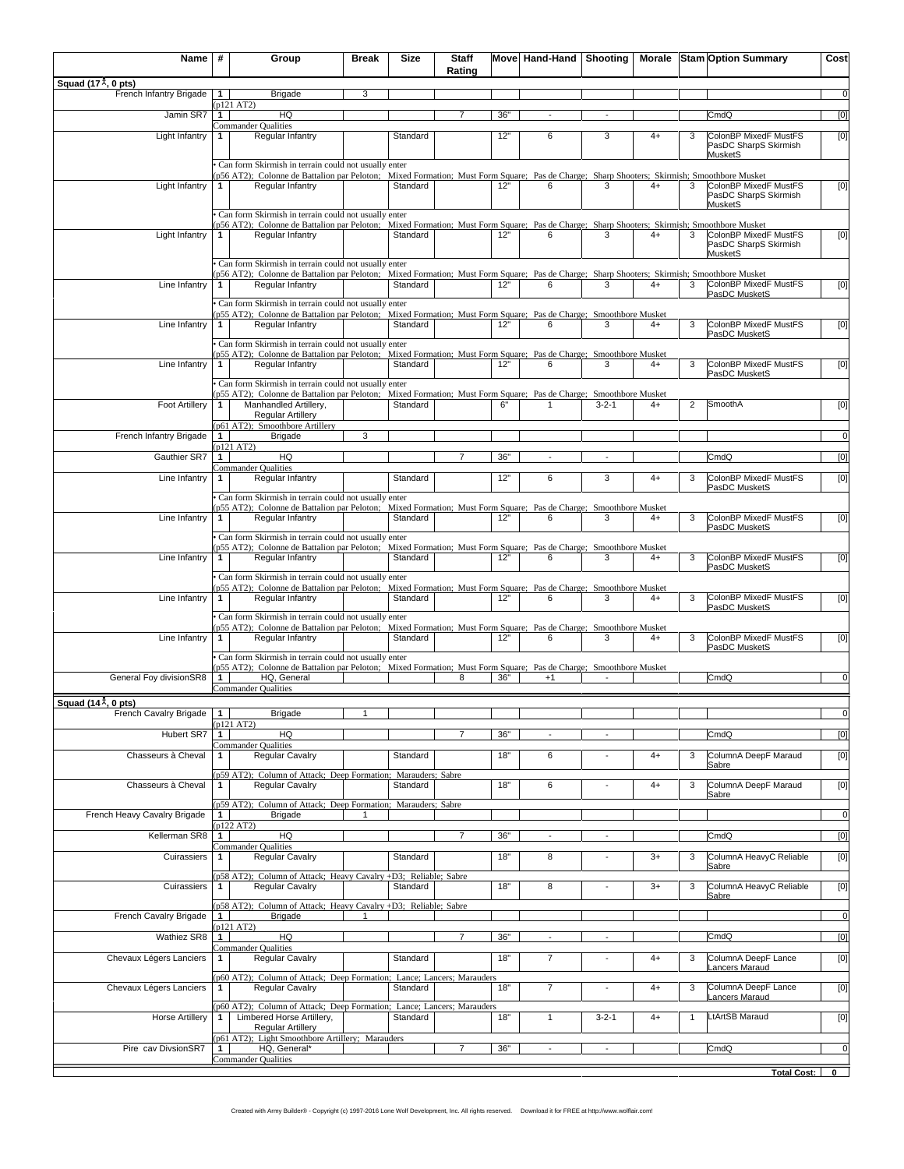| Name                                                         | #              | Group                                                                                                                                                                                             | <b>Break</b> | Size     | <b>Staff</b><br>Rating |     | Move Hand-Hand   Shooting |                          |      |              | Morale Stam Option Summary                     | Cost           |
|--------------------------------------------------------------|----------------|---------------------------------------------------------------------------------------------------------------------------------------------------------------------------------------------------|--------------|----------|------------------------|-----|---------------------------|--------------------------|------|--------------|------------------------------------------------|----------------|
| Squad (17 $\overline{x}$ , 0 pts)<br>French Infantry Brigade | $\mathbf{1}$   | <b>Brigade</b>                                                                                                                                                                                    | 3            |          |                        |     |                           |                          |      |              |                                                | $\overline{0}$ |
| Jamin SR7                                                    | $\mathbf{1}$   | p121 AT2)<br>HQ                                                                                                                                                                                   |              |          | $\overline{7}$         | 36" |                           |                          |      |              | CmdQ                                           | [0]            |
| Light Infantry                                               | $\mathbf{1}$   | Commander Qualities<br>Regular Infantry                                                                                                                                                           |              | Standard |                        | 12" | 6                         | 3                        | $4+$ | 3            | ColonBP MixedF MustFS                          | [0]            |
|                                                              |                |                                                                                                                                                                                                   |              |          |                        |     |                           |                          |      |              | PasDC SharpS Skirmish<br>MusketS               |                |
|                                                              |                | Can form Skirmish in terrain could not usually enter                                                                                                                                              |              |          |                        |     |                           |                          |      |              |                                                |                |
| Light Infantry                                               | 1              | p56 AT2); Colonne de Battalion par Peloton; Mixed Formation; Must Form Square; Pas de Charge; Sharp Shooters; Skirmish; Smoothbore Musket<br>Regular Infantry                                     |              | Standard |                        | 12" | 6                         | 3                        | $4+$ | 3            | ColonBP MixedF MustFS                          | [0]            |
|                                                              |                |                                                                                                                                                                                                   |              |          |                        |     |                           |                          |      |              | PasDC SharpS Skirmish<br><b>MusketS</b>        |                |
|                                                              |                | Can form Skirmish in terrain could not usually enter<br>p56 AT2); Colonne de Battalion par Peloton; Mixed Formation; Must Form Square; Pas de Charge; Sharp Shooters; Skirmish; Smoothbore Musket |              |          |                        |     |                           |                          |      |              |                                                |                |
| Light Infantry                                               | 1              | Regular Infantry                                                                                                                                                                                  |              | Standard |                        | 12" | 6                         | 3                        | $4+$ | 3            | ColonBP MixedF MustFS<br>PasDC SharpS Skirmish | [0]            |
|                                                              |                | Can form Skirmish in terrain could not usually enter                                                                                                                                              |              |          |                        |     |                           |                          |      |              | <b>MusketS</b>                                 |                |
| Line Infantry                                                | 1              | p56 AT2); Colonne de Battalion par Peloton; Mixed Formation; Must Form Square; Pas de Charge; Sharp Shooters; Skirmish; Smoothbore Musket<br>Regular Infantry                                     |              | Standard |                        | 12" |                           | 3                        | $4+$ | 3            | ColonBP MixedF MustFS                          | [0]            |
|                                                              |                | Can form Skirmish in terrain could not usually enter                                                                                                                                              |              |          |                        |     |                           |                          |      |              | PasDC MusketS                                  |                |
| Line Infantry                                                |                | p55 AT2); Colonne de Battalion par Peloton; Mixed Formation; Must Form Square; Pas de Charge; Smoothbore Musket<br>Regular Infantry                                                               |              | Standard |                        | 12" | 6                         | 3                        | $4+$ | 3            | ColonBP MixedF MustFS                          |                |
|                                                              | 1              |                                                                                                                                                                                                   |              |          |                        |     |                           |                          |      |              | PasDC MusketS                                  | [0]            |
|                                                              |                | Can form Skirmish in terrain could not usually enter<br>p55 AT2); Colonne de Battalion par Peloton; Mixed Formation; Must Form Square; Pas de Charge; Smoothbore Musket                           |              |          |                        |     |                           |                          |      |              |                                                |                |
| Line Infantry                                                | 1              | Regular Infantry                                                                                                                                                                                  |              | Standard |                        | 12" | 6                         | 3                        | $4+$ | 3            | ColonBP MixedF MustFS<br>PasDC MusketS         | [0]            |
|                                                              |                | Can form Skirmish in terrain could not usually enter<br>p55 AT2); Colonne de Battalion par Peloton; Mixed Formation; Must Form Square; Pas de Charge; Smoothbore Musket                           |              |          |                        |     |                           |                          |      |              |                                                |                |
| <b>Foot Artillery</b>                                        | 1              | Manhandled Artillery,<br><b>Regular Artillery</b>                                                                                                                                                 |              | Standard |                        | 6"  | $\mathbf{1}$              | $3 - 2 - 1$              | $4+$ | 2            | SmoothA                                        | [0]            |
|                                                              |                | p61 AT2); Smoothbore Artillery                                                                                                                                                                    |              |          |                        |     |                           |                          |      |              |                                                |                |
| French Infantry Brigade                                      | $1 \vert$      | <b>Brigade</b><br>p121 AT2)                                                                                                                                                                       | 3            |          |                        |     |                           |                          |      |              |                                                | $\overline{0}$ |
| Gauthier SR7                                                 | 1              | HQ<br>Commander Qualities                                                                                                                                                                         |              |          |                        | 36" |                           |                          |      |              | CmdQ                                           | [0]            |
| Line Infantry                                                | $\mathbf{1}$   | Regular Infantry                                                                                                                                                                                  |              | Standard |                        | 12" | 6                         | 3                        | $4+$ | 3            | ColonBP MixedF MustFS<br>PasDC MusketS         | [0]            |
|                                                              |                | Can form Skirmish in terrain could not usually enter                                                                                                                                              |              |          |                        |     |                           |                          |      |              |                                                |                |
| Line Infantry                                                | 1              | p55 AT2); Colonne de Battalion par Peloton; Mixed Formation; Must Form Square; Pas de Charge; Smoothbore Musket<br>Regular Infantry                                                               |              | Standard |                        | 12" | 6                         | 3                        | $4+$ | 3            | ColonBP MixedF MustFS                          | [0]            |
|                                                              |                | Can form Skirmish in terrain could not usually enter                                                                                                                                              |              |          |                        |     |                           |                          |      |              | PasDC MusketS                                  |                |
| Line Infantry                                                | $\mathbf{1}$   | p55 AT2); Colonne de Battalion par Peloton; Mixed Formation; Must Form Square; Pas de Charge; Smoothbore Musket<br>Regular Infantry                                                               |              | Standard |                        | 12" | 6                         | 3                        | $4+$ | 3            | ColonBP MixedF MustFS                          | [0]            |
|                                                              |                | Can form Skirmish in terrain could not usually enter                                                                                                                                              |              |          |                        |     |                           |                          |      |              | PasDC MusketS                                  |                |
| Line Infantry                                                | $\mathbf{1}$   | p55 AT2); Colonne de Battalion par Peloton; Mixed Formation; Must Form Square; Pas de Charge; Smoothbore Musket<br>Regular Infantry                                                               |              | Standard |                        | 12" | 6                         | 3                        | $4+$ | 3            | ColonBP MixedF MustFS                          | [0]            |
|                                                              |                | Can form Skirmish in terrain could not usually enter                                                                                                                                              |              |          |                        |     |                           |                          |      |              | PasDC MusketS                                  |                |
|                                                              |                | p55 AT2); Colonne de Battalion par Peloton; Mixed Formation; Must Form Square; Pas de Charge; Smoothbore Musket                                                                                   |              | Standard |                        |     | 6                         |                          |      |              | ColonBP MixedF MustFS                          |                |
| Line Infantry                                                | $\mathbf{1}$   | Regular Infantry                                                                                                                                                                                  |              |          |                        | 12" |                           | 3                        | $4+$ | 3            | PasDC MusketS                                  | [0]            |
|                                                              |                | Can form Skirmish in terrain could not usually enter<br>p55 AT2); Colonne de Battalion par Peloton; Mixed Formation; Must Form Square; Pas de Charge; Smoothbore Musket                           |              |          |                        |     |                           |                          |      |              |                                                |                |
| General Foy divisionSR8                                      | 1              | HQ, General<br>Commander Qualities                                                                                                                                                                |              |          | 8                      | 36" | $+1$                      |                          |      |              | CmdQ                                           | $\overline{0}$ |
| Squad (14 $\overline{X}$ , 0 pts)                            |                |                                                                                                                                                                                                   |              |          |                        |     |                           |                          |      |              |                                                |                |
| French Cavalry Brigade                                       | 1 <sup>1</sup> | <b>Brigade</b><br>p121 AT2)                                                                                                                                                                       |              |          |                        |     |                           |                          |      |              |                                                | $\sigma$       |
| Hubert SR7                                                   | 1              | HQ<br>Commander Qualities                                                                                                                                                                         |              |          | $\overline{7}$         | 36" |                           |                          |      |              | CmdQ                                           | [0]            |
| Chasseurs à Cheval                                           | 1              | Regular Cavalry                                                                                                                                                                                   |              | Standard |                        | 18" | 6                         |                          | $4+$ | 3            | ColumnA DeepF Maraud<br>Sabre                  | [0]            |
| Chasseurs à Cheval                                           | 1.             | p59 AT2); Column of Attack; Deep Formation; Marauders; Sabre<br>Regular Cavalry                                                                                                                   |              | Standard |                        | 18" | 6                         | $\overline{\phantom{a}}$ | $4+$ | 3            | ColumnA DeepF Maraud                           | [0]            |
|                                                              |                | p59 AT2); Column of Attack; Deep Formation; Marauders; Sabre                                                                                                                                      |              |          |                        |     |                           |                          |      |              | Sabre                                          |                |
| French Heavy Cavalry Brigade                                 | $\mathbf{1}$   | <b>Brigade</b>                                                                                                                                                                                    | $\mathbf{1}$ |          |                        |     |                           |                          |      |              |                                                | $\overline{0}$ |
| Kellerman SR8                                                | $\mathbf{1}$   | p122 AT2)<br>HQ                                                                                                                                                                                   |              |          | $\overline{7}$         | 36" |                           |                          |      |              | CmdQ                                           | [0]            |
| Cuirassiers                                                  | 1              | Commander Qualities<br>Regular Cavalry                                                                                                                                                            |              | Standard |                        | 18" | 8                         |                          | $3+$ | 3            | ColumnA HeavyC Reliable                        | [0]            |
|                                                              |                | p58 AT2); Column of Attack; Heavy Cavalry +D3; Reliable; Sabre                                                                                                                                    |              |          |                        |     |                           |                          |      |              | Sabre                                          |                |
| Cuirassiers                                                  | $\mathbf{1}$   | Regular Cavalry                                                                                                                                                                                   |              | Standard |                        | 18" | 8                         |                          | $3+$ | 3            | ColumnA HeavyC Reliable<br>Sabre               | [0]            |
|                                                              |                | (p58 AT2); Column of Attack; Heavy Cavalry +D3; Reliable; Sabre                                                                                                                                   |              |          |                        |     |                           |                          |      |              |                                                |                |
| French Cavalry Brigade                                       | $\mathbf{1}$   | <b>Brigade</b><br>p121 AT2)                                                                                                                                                                       |              |          |                        |     |                           |                          |      |              |                                                | $\overline{0}$ |
| Wathiez SR8                                                  | $\mathbf{1}$   | HQ<br>Commander Qualities                                                                                                                                                                         |              |          | $\overline{7}$         | 36" |                           |                          |      |              | CmdQ                                           | [0]            |
| Chevaux Légers Lanciers                                      | 1              | Regular Cavalry                                                                                                                                                                                   |              | Standard |                        | 18" | $\overline{7}$            | $\overline{\phantom{a}}$ | $4+$ | 3            | ColumnA DeepF Lance<br>Lancers Maraud          | [0]            |
| Chevaux Légers Lanciers                                      |                | p60 AT2); Column of Attack; Deep Formation; Lance; Lancers; Marauders                                                                                                                             |              | Standard |                        | 18" |                           |                          | $4+$ |              | ColumnA DeepF Lance                            |                |
|                                                              | 1              | Regular Cavalry                                                                                                                                                                                   |              |          |                        |     | $\overline{7}$            |                          |      | 3            | Lancers Maraud                                 | [0]            |
| <b>Horse Artillery</b>                                       | 1              | p60 AT2); Column of Attack; Deep Formation; Lance; Lancers; Marauders<br>Limbered Horse Artillery,                                                                                                |              | Standard |                        | 18" | 1                         | $3 - 2 - 1$              | $4+$ | $\mathbf{1}$ | LtArtSB Maraud                                 | [0]            |
|                                                              |                | <b>Regular Artillery</b><br>p61 AT2); Light Smoothbore Artillery; Marauders                                                                                                                       |              |          |                        |     |                           |                          |      |              |                                                |                |
| Pire cav DivsionSR7                                          | 1              | HQ, General*                                                                                                                                                                                      |              |          | $\overline{7}$         | 36" |                           |                          |      |              | CmdQ                                           | $\overline{0}$ |